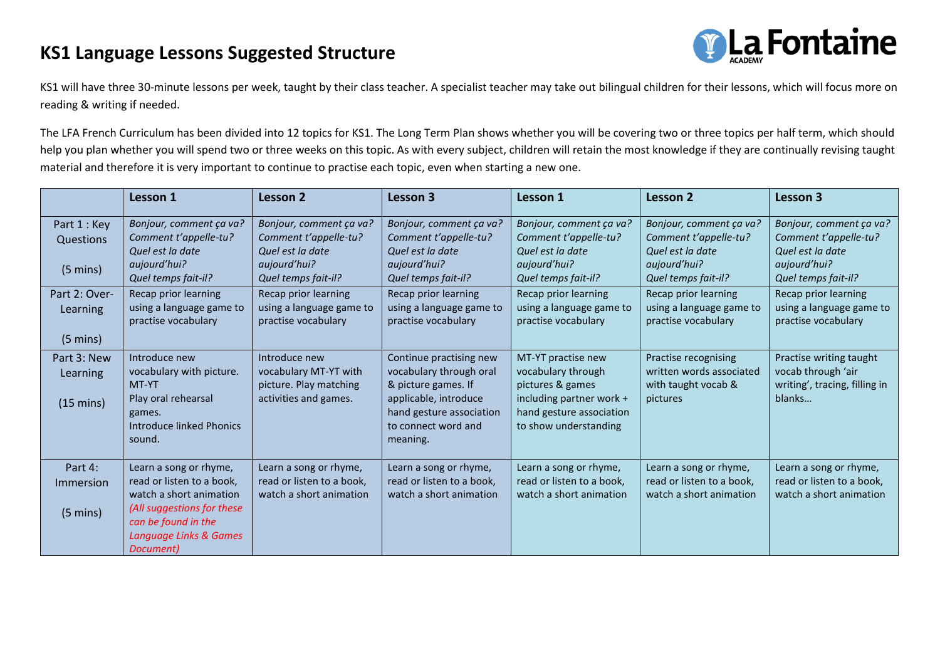## **KS1 Language Lessons Suggested Structure**



KS1 will have three 30-minute lessons per week, taught by their class teacher. A specialist teacher may take out bilingual children for their lessons, which will focus more on reading & writing if needed.

The LFA French Curriculum has been divided into 12 topics for KS1. The Long Term Plan shows whether you will be covering two or three topics per half term, which should help you plan whether you will spend two or three weeks on this topic. As with every subject, children will retain the most knowledge if they are continually revising taught material and therefore it is very important to continue to practise each topic, even when starting a new one.

|                     | Lesson 1                                              | <b>Lesson 2</b>                                 | Lesson 3                                        | Lesson 1                                        | <b>Lesson 2</b>                                 | Lesson 3                                            |
|---------------------|-------------------------------------------------------|-------------------------------------------------|-------------------------------------------------|-------------------------------------------------|-------------------------------------------------|-----------------------------------------------------|
| Part 1 : Key        | Bonjour, comment ça va?                               | Bonjour, comment ça va?                         | Bonjour, comment ça va?                         | Bonjour, comment ça va?                         | Bonjour, comment ça va?                         | Bonjour, comment ça va?                             |
| Questions           | Comment t'appelle-tu?<br>Quel est la date             | Comment t'appelle-tu?<br>Quel est la date       | Comment t'appelle-tu?<br>Quel est la date       | Comment t'appelle-tu?<br>Quel est la date       | Comment t'appelle-tu?<br>Quel est la date       | Comment t'appelle-tu?<br>Quel est la date           |
| $(5 \text{ mins})$  | aujourd'hui?                                          | aujourd'hui?                                    | aujourd'hui?                                    | aujourd'hui?                                    | aujourd'hui?                                    | aujourd'hui?                                        |
|                     | Quel temps fait-il?                                   | Quel temps fait-il?                             | Quel temps fait-il?                             | Quel temps fait-il?                             | Quel temps fait-il?                             | Quel temps fait-il?                                 |
| Part 2: Over-       | Recap prior learning                                  | Recap prior learning                            | Recap prior learning                            | Recap prior learning                            | Recap prior learning                            | Recap prior learning                                |
| Learning            | using a language game to<br>practise vocabulary       | using a language game to<br>practise vocabulary | using a language game to<br>practise vocabulary | using a language game to<br>practise vocabulary | using a language game to<br>practise vocabulary | using a language game to<br>practise vocabulary     |
| $(5 \text{ mins})$  |                                                       |                                                 |                                                 |                                                 |                                                 |                                                     |
| Part 3: New         | Introduce new                                         | Introduce new                                   | Continue practising new                         | MT-YT practise new                              | Practise recognising                            | Practise writing taught                             |
| Learning            | vocabulary with picture.<br>MT-YT                     | vocabulary MT-YT with<br>picture. Play matching | vocabulary through oral<br>& picture games. If  | vocabulary through<br>pictures & games          | written words associated<br>with taught vocab & | vocab through 'air<br>writing', tracing, filling in |
| $(15 \text{ mins})$ | Play oral rehearsal                                   | activities and games.                           | applicable, introduce                           | including partner work +                        | pictures                                        | blanks                                              |
|                     | games.                                                |                                                 | hand gesture association                        | hand gesture association                        |                                                 |                                                     |
|                     | <b>Introduce linked Phonics</b>                       |                                                 | to connect word and                             | to show understanding                           |                                                 |                                                     |
|                     | sound.                                                |                                                 | meaning.                                        |                                                 |                                                 |                                                     |
| Part 4:             | Learn a song or rhyme,                                | Learn a song or rhyme,                          | Learn a song or rhyme,                          | Learn a song or rhyme,                          | Learn a song or rhyme,                          | Learn a song or rhyme,                              |
| Immersion           | read or listen to a book,                             | read or listen to a book,                       | read or listen to a book,                       | read or listen to a book,                       | read or listen to a book,                       | read or listen to a book,                           |
|                     | watch a short animation<br>(All suggestions for these | watch a short animation                         | watch a short animation                         | watch a short animation                         | watch a short animation                         | watch a short animation                             |
| $(5 \text{ mins})$  | can be found in the                                   |                                                 |                                                 |                                                 |                                                 |                                                     |
|                     | Language Links & Games                                |                                                 |                                                 |                                                 |                                                 |                                                     |
|                     | Document)                                             |                                                 |                                                 |                                                 |                                                 |                                                     |